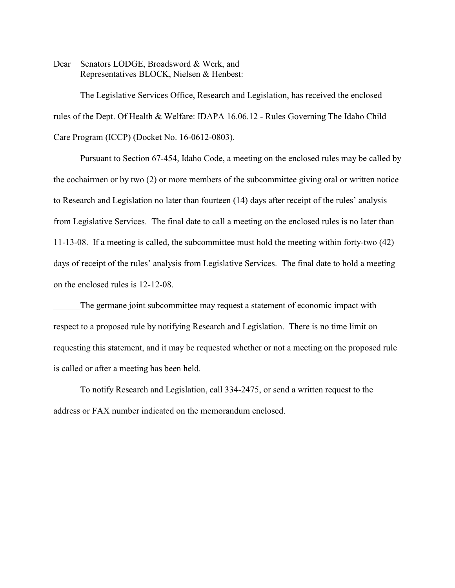Dear Senators LODGE, Broadsword & Werk, and Representatives BLOCK, Nielsen & Henbest:

The Legislative Services Office, Research and Legislation, has received the enclosed rules of the Dept. Of Health & Welfare: IDAPA 16.06.12 - Rules Governing The Idaho Child Care Program (ICCP) (Docket No. 16-0612-0803).

Pursuant to Section 67-454, Idaho Code, a meeting on the enclosed rules may be called by the cochairmen or by two (2) or more members of the subcommittee giving oral or written notice to Research and Legislation no later than fourteen (14) days after receipt of the rules' analysis from Legislative Services. The final date to call a meeting on the enclosed rules is no later than 11-13-08. If a meeting is called, the subcommittee must hold the meeting within forty-two (42) days of receipt of the rules' analysis from Legislative Services. The final date to hold a meeting on the enclosed rules is 12-12-08.

The germane joint subcommittee may request a statement of economic impact with respect to a proposed rule by notifying Research and Legislation. There is no time limit on requesting this statement, and it may be requested whether or not a meeting on the proposed rule is called or after a meeting has been held.

To notify Research and Legislation, call 334-2475, or send a written request to the address or FAX number indicated on the memorandum enclosed.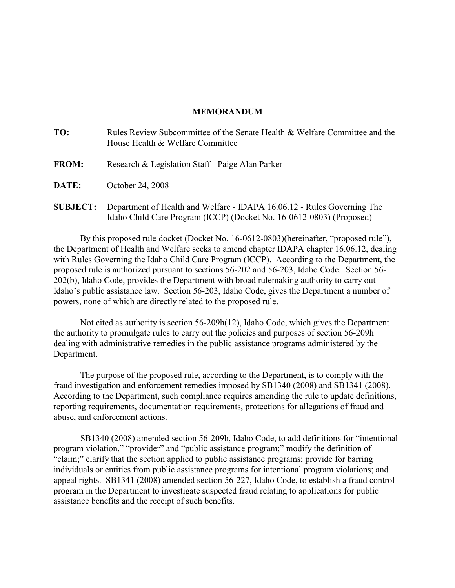## **MEMORANDUM**

| TO:             | Rules Review Subcommittee of the Senate Health & Welfare Committee and the<br>House Health & Welfare Committee |
|-----------------|----------------------------------------------------------------------------------------------------------------|
| <b>FROM:</b>    | Research & Legislation Staff - Paige Alan Parker                                                               |
| <b>DATE:</b>    | October 24, 2008                                                                                               |
| <b>SUBJECT:</b> | Department of Health and Welfare - IDAPA 16.06.12 - Rules Governing The                                        |

Idaho Child Care Program (ICCP) (Docket No. 16-0612-0803) (Proposed)

By this proposed rule docket (Docket No. 16-0612-0803)(hereinafter, "proposed rule"), the Department of Health and Welfare seeks to amend chapter IDAPA chapter 16.06.12, dealing with Rules Governing the Idaho Child Care Program (ICCP). According to the Department, the proposed rule is authorized pursuant to sections 56-202 and 56-203, Idaho Code. Section 56- 202(b), Idaho Code, provides the Department with broad rulemaking authority to carry out Idaho's public assistance law. Section 56-203, Idaho Code, gives the Department a number of powers, none of which are directly related to the proposed rule.

Not cited as authority is section 56-209h(12), Idaho Code, which gives the Department the authority to promulgate rules to carry out the policies and purposes of section 56-209h dealing with administrative remedies in the public assistance programs administered by the Department.

The purpose of the proposed rule, according to the Department, is to comply with the fraud investigation and enforcement remedies imposed by SB1340 (2008) and SB1341 (2008). According to the Department, such compliance requires amending the rule to update definitions, reporting requirements, documentation requirements, protections for allegations of fraud and abuse, and enforcement actions.

SB1340 (2008) amended section 56-209h, Idaho Code, to add definitions for "intentional program violation," "provider" and "public assistance program;" modify the definition of "claim;" clarify that the section applied to public assistance programs; provide for barring individuals or entities from public assistance programs for intentional program violations; and appeal rights. SB1341 (2008) amended section 56-227, Idaho Code, to establish a fraud control program in the Department to investigate suspected fraud relating to applications for public assistance benefits and the receipt of such benefits.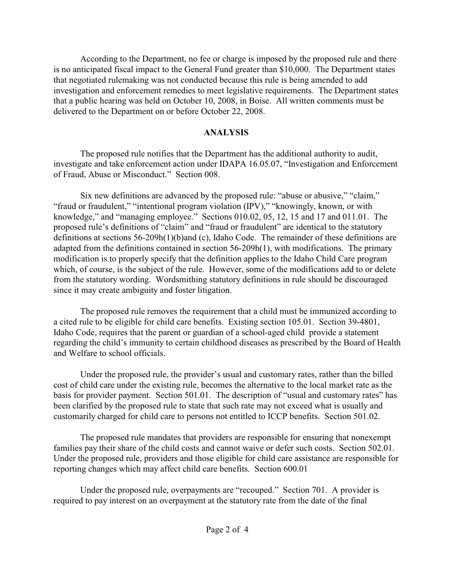According to the Department, no fee or charge is imposed by the proposed rule and there is no anticipated fiscal impact to the General Fund greater than \$10,000. The Department states that negotiated rulemaking was not conducted because this rule is being amended to add investigation and enforcement remedies to meet legislative requirements. The Department states that a public hearing was held on October 10, 2008, in Boise. All written comments must be delivered to the Department on or before October 22, 2008.

# **ANALYSIS**

The proposed rule notifies that the Department has the additional authority to audit, investigate and take enforcement action under IDAPA 16.05.07, "Investigation and Enforcement of Fraud, Abuse or Misconduct." Section 008.

Six new definitions are advanced by the proposed rule: "abuse or abusive," "claim," "fraud or fraudulent," "intentional program violation (IPV)," "knowingly, known, or with knowledge," and "managing employee." Sections 010.02, 05, 12, 15 and 17 and 011.01. The proposed rule's definitions of "claim" and "fraud or fraudulent" are identical to the statutory definitions at sections 56-209h(1)(b)and (c), Idaho Code. The remainder of these definitions are adapted from the definitions contained in section 56-209h(1), with modifications. The primary modification is to properly specify that the definition applies to the Idaho Child Care program which, of course, is the subject of the rule. However, some of the modifications add to or delete from the statutory wording. Wordsmithing statutory definitions in rule should be discouraged since it may create ambiguity and foster litigation.

The proposed rule removes the requirement that a child must be immunized according to a cited rule to be eligible for child care benefits. Existing section 105.01. Section 39-4801, Idaho Code, requires that the parent or guardian of a school-aged child provide a statement regarding the child's immunity to certain childhood diseases as prescribed by the Board of Health and Welfare to school officials.

Under the proposed rule, the provider's usual and customary rates, rather than the billed cost of child care under the existing rule, becomes the alternative to the local market rate as the basis for provider payment. Section 501.01. The description of "usual and customary rates" has been clarified by the proposed rule to state that such rate may not exceed what is usually and customarily charged for child care to persons not entitled to ICCP benefits. Section 501.02.

The proposed rule mandates that providers are responsible for ensuring that nonexempt families pay their share of the child costs and cannot waive or defer such costs. Section 502.01. Under the proposed rule, providers and those eligible for child care assistance are responsible for reporting changes which may affect child care benefits. Section 600.01

Under the proposed rule, overpayments are "recouped." Section 701. A provider is required to pay interest on an overpayment at the statutory rate from the date of the final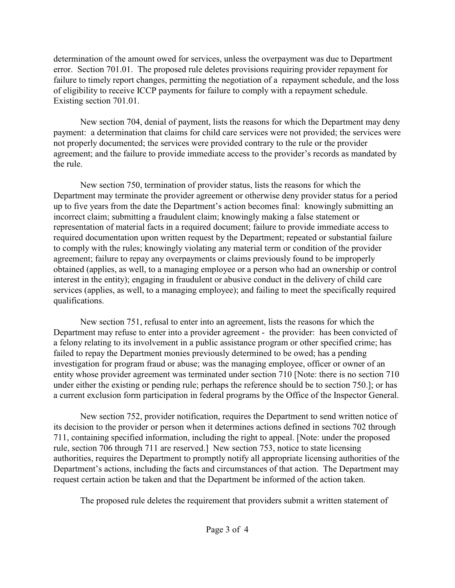determination of the amount owed for services, unless the overpayment was due to Department error. Section 701.01. The proposed rule deletes provisions requiring provider repayment for failure to timely report changes, permitting the negotiation of a repayment schedule, and the loss of eligibility to receive ICCP payments for failure to comply with a repayment schedule. Existing section 701.01.

New section 704, denial of payment, lists the reasons for which the Department may deny payment: a determination that claims for child care services were not provided; the services were not properly documented; the services were provided contrary to the rule or the provider agreement; and the failure to provide immediate access to the provider's records as mandated by the rule.

New section 750, termination of provider status, lists the reasons for which the Department may terminate the provider agreement or otherwise deny provider status for a period up to five years from the date the Department's action becomes final: knowingly submitting an incorrect claim; submitting a fraudulent claim; knowingly making a false statement or representation of material facts in a required document; failure to provide immediate access to required documentation upon written request by the Department; repeated or substantial failure to comply with the rules; knowingly violating any material term or condition of the provider agreement; failure to repay any overpayments or claims previously found to be improperly obtained (applies, as well, to a managing employee or a person who had an ownership or control interest in the entity); engaging in fraudulent or abusive conduct in the delivery of child care services (applies, as well, to a managing employee); and failing to meet the specifically required qualifications.

New section 751, refusal to enter into an agreement, lists the reasons for which the Department may refuse to enter into a provider agreement - the provider: has been convicted of a felony relating to its involvement in a public assistance program or other specified crime; has failed to repay the Department monies previously determined to be owed; has a pending investigation for program fraud or abuse; was the managing employee, officer or owner of an entity whose provider agreement was terminated under section 710 [Note: there is no section 710 under either the existing or pending rule; perhaps the reference should be to section 750.]; or has a current exclusion form participation in federal programs by the Office of the Inspector General.

New section 752, provider notification, requires the Department to send written notice of its decision to the provider or person when it determines actions defined in sections 702 through 711, containing specified information, including the right to appeal. [Note: under the proposed rule, section 706 through 711 are reserved.] New section 753, notice to state licensing authorities, requires the Department to promptly notify all appropriate licensing authorities of the Department's actions, including the facts and circumstances of that action. The Department may request certain action be taken and that the Department be informed of the action taken.

The proposed rule deletes the requirement that providers submit a written statement of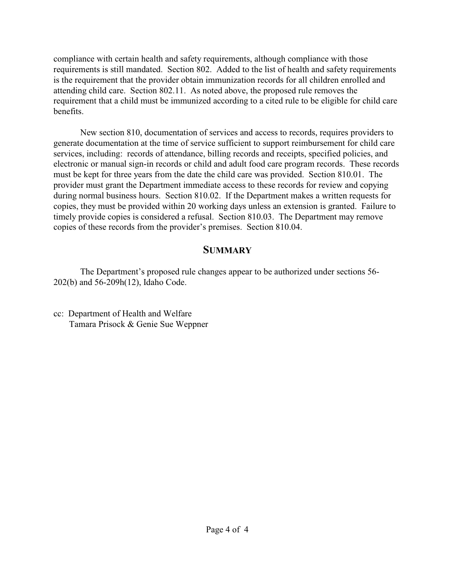compliance with certain health and safety requirements, although compliance with those requirements is still mandated. Section 802. Added to the list of health and safety requirements is the requirement that the provider obtain immunization records for all children enrolled and attending child care. Section 802.11. As noted above, the proposed rule removes the requirement that a child must be immunized according to a cited rule to be eligible for child care benefits.

New section 810, documentation of services and access to records, requires providers to generate documentation at the time of service sufficient to support reimbursement for child care services, including: records of attendance, billing records and receipts, specified policies, and electronic or manual sign-in records or child and adult food care program records. These records must be kept for three years from the date the child care was provided. Section 810.01. The provider must grant the Department immediate access to these records for review and copying during normal business hours. Section 810.02. If the Department makes a written requests for copies, they must be provided within 20 working days unless an extension is granted. Failure to timely provide copies is considered a refusal. Section 810.03. The Department may remove copies of these records from the provider's premises. Section 810.04.

# **SUMMARY**

The Department's proposed rule changes appear to be authorized under sections 56- 202(b) and 56-209h(12), Idaho Code.

cc: Department of Health and Welfare Tamara Prisock & Genie Sue Weppner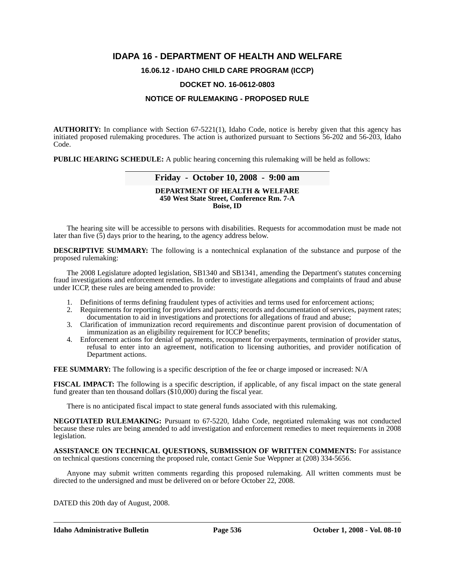## **IDAPA 16 - DEPARTMENT OF HEALTH AND WELFARE**

## **16.06.12 - IDAHO CHILD CARE PROGRAM (ICCP)**

## **DOCKET NO. 16-0612-0803**

## **NOTICE OF RULEMAKING - PROPOSED RULE**

**AUTHORITY:** In compliance with Section 67-5221(1), Idaho Code, notice is hereby given that this agency has initiated proposed rulemaking procedures. The action is authorized pursuant to Sections 56-202 and 56-203, Idaho Code.

**PUBLIC HEARING SCHEDULE:** A public hearing concerning this rulemaking will be held as follows:

## **Friday - October 10, 2008 - 9:00 am**

### **DEPARTMENT OF HEALTH & WELFARE 450 West State Street, Conference Rm. 7-A Boise, ID**

The hearing site will be accessible to persons with disabilities. Requests for accommodation must be made not later than five (5) days prior to the hearing, to the agency address below.

**DESCRIPTIVE SUMMARY:** The following is a nontechnical explanation of the substance and purpose of the proposed rulemaking:

The 2008 Legislature adopted legislation, SB1340 and SB1341, amending the Department's statutes concerning fraud investigations and enforcement remedies. In order to investigate allegations and complaints of fraud and abuse under ICCP, these rules are being amended to provide:

- 1. Definitions of terms defining fraudulent types of activities and terms used for enforcement actions;
- 2. Requirements for reporting for providers and parents; records and documentation of services, payment rates; documentation to aid in investigations and protections for allegations of fraud and abuse;
- 3. Clarification of immunization record requirements and discontinue parent provision of documentation of immunization as an eligibility requirement for ICCP benefits;
- 4. Enforcement actions for denial of payments, recoupment for overpayments, termination of provider status, refusal to enter into an agreement, notification to licensing authorities, and provider notification of Department actions.

**FEE SUMMARY:** The following is a specific description of the fee or charge imposed or increased: N/A

**FISCAL IMPACT:** The following is a specific description, if applicable, of any fiscal impact on the state general fund greater than ten thousand dollars (\$10,000) during the fiscal year.

There is no anticipated fiscal impact to state general funds associated with this rulemaking.

**NEGOTIATED RULEMAKING:** Pursuant to 67-5220, Idaho Code, negotiated rulemaking was not conducted because these rules are being amended to add investigation and enforcement remedies to meet requirements in 2008 legislation*.*

**ASSISTANCE ON TECHNICAL QUESTIONS, SUBMISSION OF WRITTEN COMMENTS:** For assistance on technical questions concerning the proposed rule, contact Genie Sue Weppner at (208) 334-5656*.*

Anyone may submit written comments regarding this proposed rulemaking. All written comments must be directed to the undersigned and must be delivered on or before October 22, 2008.

DATED this 20th day of August, 2008.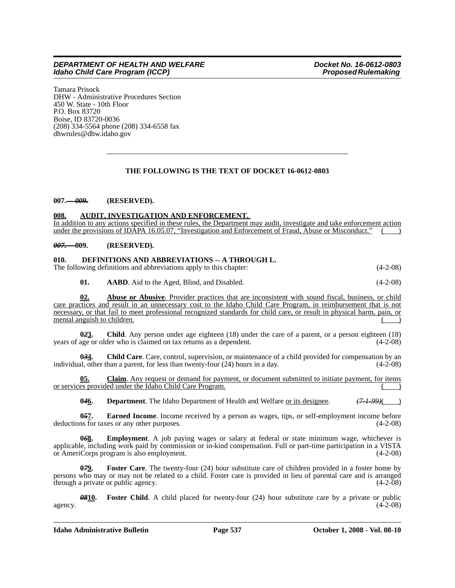Tamara Prisock DHW - Administrative Procedures Section 450 W. State - 10th Floor P.O. Box 83720 Boise, ID 83720-0036 (208) 334-5564 phone (208) 334-6558 fax <dhwrules@dhw.idaho.gov>

## **THE FOLLOWING IS THE TEXT OF DOCKET 16-0612-0803**

## **007.** *-- 009.* **(RESERVED).**

## **008. AUDIT, INVESTIGATION AND ENFORCEMENT.**

In addition to any actions specified in these rules, the Department may audit, investigate and take enforcement action under the provisions of IDAPA 16.05.07, "Investigation and Enforcement of Fraud, Abuse or Misconduct."

### *007. --* **009. (RESERVED).**

### **010. DEFINITIONS AND ABBREVIATIONS -- A THROUGH L.**

The following definitions and abbreviations apply to this chapter: (4-2-08)

**01. AABD**. Aid to the Aged, Blind, and Disabled. (4-2-08)

**02. Abuse or Abusive**. Provider practices that are inconsistent with sound fiscal, business, or child care practices and result in an unnecessary cost to the Idaho Child Care Program, in reimbursement that is not necessary, or that fail to meet professional recognized standards for child care, or result in physical harm, pain, or mental anguish to children.

**023.** Child. Any person under age eighteen (18) under the care of a parent, or a person eighteen (18) age or older who is claimed on tax returns as a dependent. (4-2-08) years of age or older who is claimed on tax returns as a dependent.

**0***3***4. Child Care**. Care, control, supervision, or maintenance of a child provided for compensation by an individual, other than a parent, for less than twenty-four (24) hours in a day. (4-2-08)

**05. Claim**. Any request or demand for payment, or document submitted to initiate payment, for items or services provided under the Idaho Child Care Program.

**0***4***6. Department**. The Idaho Department of Health and Welfare or its designee. *(7-1-99)*( )

**057.** Earned Income. Income received by a person as wages, tips, or self-employment income before ns for taxes or any other purposes. (4-2-08) deductions for taxes or any other purposes.

**Employment**. A job paying wages or salary at federal or state minimum wage, whichever is applicable, including work paid by commission or in-kind compensation. Full or part-time participation in a VISTA or AmeriCorps program is also employment. or AmeriCorps program is also employment.

**079.** Foster Care. The twenty-four (24) hour substitute care of children provided in a foster home by persons who may or may not be related to a child. Foster care is provided in lieu of parental care and is arranged through a private or public agency. (4-2-08)

*08***10. Foster Child**. A child placed for twenty-four (24) hour substitute care by a private or public agency.  $(4-2-08)$ 

**Idaho Administrative Bulletin Page 537 October 1, 2008 - Vol. 08-10**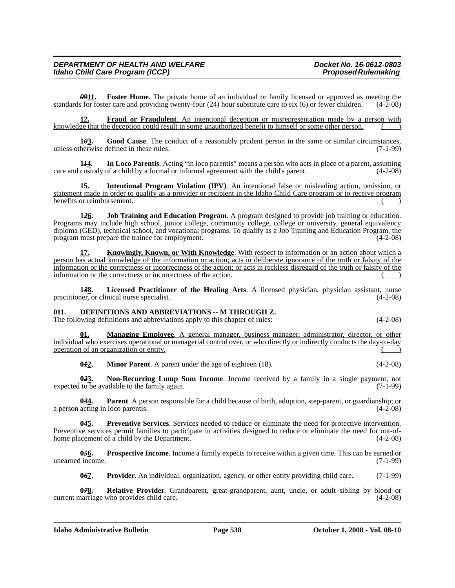*09***11. Foster Home**. The private home of an individual or family licensed or approved as meeting the standards for foster care and providing twenty-four  $(24)$  hour substitute care to six  $(6)$  or fewer children.  $(4-2-08)$ 

**Fraud or Fraudulent**. An intentional deception or misrepresentation made by a person with knowledge that the deception could result in some unauthorized benefit to himself or some other person.

**1***0***3. Good Cause**. The conduct of a reasonably prudent person in the same or similar circumstances, unless otherwise defined in these rules. (7-1-99)

**1***1***4. In Loco Parentis**. Acting "in loco parentis" means a person who acts in place of a parent, assuming care and custody of a child by a formal or informal agreement with the child's parent. (4-2-08)

**15. Intentional Program Violation (IPV)**. An intentional false or misleading action, omission, or statement made in order to qualify as a provider or recipient in the Idaho Child Care program or to receive program benefits or reimbursement. () and  $\left($  () and  $\left($  () and  $\left($  () and  $\left($  () and  $\left($  () and  $\left($  () and  $\left($  () and  $\left($  () and  $\left($  () and  $\left($  () and  $\left($  () and  $\left($  () and  $\left($  () and  $\left($  () and  $\left($ 

**1***2***6. Job Training and Education Program**. A program designed to provide job training or education. Programs may include high school, junior college, community college, college or university, general equivalency diploma (GED), technical school, and vocational programs. To qualify as a Job Training and Education Program, the program must prepare the trainee for employment. (4-2-08)

**17. Knowingly, Known, or With Knowledge**. With respect to information or an action about which a person has actual knowledge of the information or action; acts in deliberate ignorance of the truth or falsity of the information or the correctness or incorrectness of the action; or acts in reckless disregard of the truth or falsity of the information or the correctness or incorrectness of the action.

**1***3***8. Licensed Practitioner of the Healing Arts**. A licensed physician, physician assistant, nurse practitioner, or clinical nurse specialist. (4-2-08)

## **011. DEFINITIONS AND ABBREVIATIONS -- M THROUGH Z.**

The following definitions and abbreviations apply to this chapter of rules:  $(4-2-08)$ 

**01. Managing Employee**. A general manager, business manager, administrator, director, or other individual who exercises operational or managerial control over, or who directly or indirectly conducts the day-to-day operation of an organization or entity.

**042. Minor Parent**. A parent under the age of eighteen (18). (4-2-08)

**0***2***3. Non-Recurring Lump Sum Income**. Income received by a family in a single payment, not expected to be available to the family again. (7-1-99)

**034.** Parent. A person responsible for a child because of birth, adoption, step-parent, or guardianship; or acting in loco parentis. (4-2-08) a person acting in loco parentis.

**0***4***5. Preventive Services**. Services needed to reduce or eliminate the need for protective intervention. Preventive services permit families to participate in activities designed to reduce or eliminate the need for out-ofhome placement of a child by the Department. (4-2-08)

**0***5***6. Prospective Income**. Income a family expects to receive within a given time. This can be earned or unearned income. (7-1-99)

**0***6***7. Provider**. An individual, organization, agency, or other entity providing child care. (7-1-99)

**0<del>7</del>8.** Relative Provider. Grandparent, great-grandparent, aunt, uncle, or adult sibling by blood or (4-2-08) current marriage who provides child care.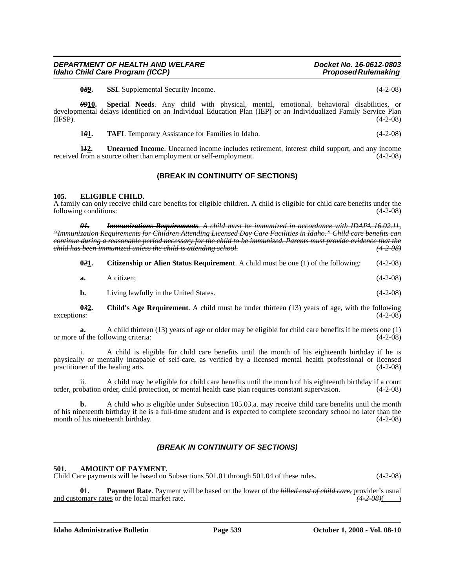**0<del>8</del>9.** SSI. Supplemental Security Income. (4-2-08)

*09***10. Special Needs**. Any child with physical, mental, emotional, behavioral disabilities, or developmental delays identified on an Individual Education Plan (IEP) or an Individualized Family Service Plan (IFSP).  $(4-2-08)$ 

**1***0***<sup>1</sup>. TAFI**. Temporary Assistance for Families in Idaho. (4-2-08)

**1***1***2. Unearned Income**. Unearned income includes retirement, interest child support, and any income received from a source other than employment or self-employment. (4-2-08)

## **(BREAK IN CONTINUITY OF SECTIONS)**

### **105. ELIGIBLE CHILD.**

A family can only receive child care benefits for eligible children. A child is eligible for child care benefits under the following conditions: (4-2-08)

*01. Immunizations Requirements. A child must be immunized in accordance with IDAPA 16.02.11, "Immunization Requirements for Children Attending Licensed Day Care Facilities in Idaho." Child care benefits can continue during a reasonable period necessary for the child to be immunized. Parents must provide evidence that the child has been immunized unless the child is attending school. (4-2-08)*

| 0.21. | <b>Citizenship or Alien Status Requirement.</b> A child must be one (1) of the following: |  | $(4-2-08)$ |
|-------|-------------------------------------------------------------------------------------------|--|------------|
|-------|-------------------------------------------------------------------------------------------|--|------------|

- **a.** A citizen; (4-2-08)
- **b.** Living lawfully in the United States. (4-2-08)

**0***3***2. Child's Age Requirement**. A child must be under thirteen (13) years of age, with the following  $\alpha$ exceptions:  $(4-2-08)$ 

**a.** A child thirteen (13) years of age or older may be eligible for child care benefits if he meets one (1) of the following criteria: (4-2-08) or more of the following criteria:

i. A child is eligible for child care benefits until the month of his eighteenth birthday if he is physically or mentally incapable of self-care, as verified by a licensed mental health professional or licensed practitioner of the healing arts. (4-2-08)

ii. A child may be eligible for child care benefits until the month of his eighteenth birthday if a court order, probation order, child protection, or mental health case plan requires constant supervision. (4-2-08)

**b.** A child who is eligible under Subsection 105.03.a. may receive child care benefits until the month of his nineteenth birthday if he is a full-time student and is expected to complete secondary school no later than the month of his nineteenth birthday. (4-2-08)

## *(BREAK IN CONTINUITY OF SECTIONS)*

### **501. AMOUNT OF PAYMENT.**

Child Care payments will be based on Subsections 501.01 through 501.04 of these rules. (4-2-08)

**01. Payment Rate**. Payment will be based on the lower of the *billed cost of child care,* provider's usual and customary rates or the local market rate.  $(4-2-0.06)$  (4-2-08)( )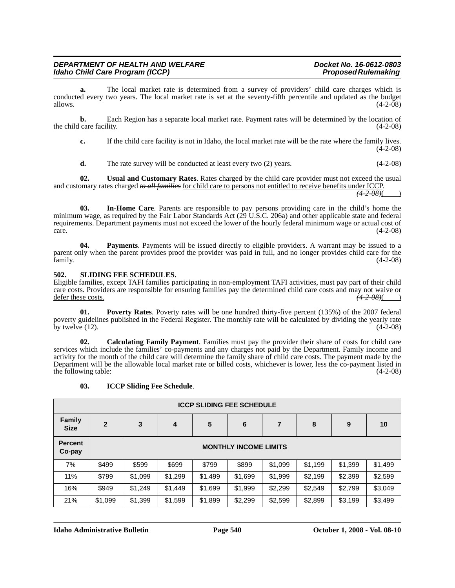**a.** The local market rate is determined from a survey of providers' child care charges which is conducted every two years. The local market rate is set at the seventy-fifth percentile and updated as the budget allows.  $(4-2-08)$ 

**b.** Each Region has a separate local market rate. Payment rates will be determined by the location of the child care facility. (4-2-08)

**c.** If the child care facility is not in Idaho, the local market rate will be the rate where the family lives. (4-2-08)

**d.** The rate survey will be conducted at least every two (2) years. (4-2-08)

**02. Usual and Customary Rates**. Rates charged by the child care provider must not exceed the usual and customary rates charged *to all families* for child care to persons not entitled to receive benefits under ICCP. *(4-2-08)*( )

**03. In-Home Care**. Parents are responsible to pay persons providing care in the child's home the minimum wage, as required by the Fair Labor Standards Act (29 U.S.C. 206a) and other applicable state and federal requirements. Department payments must not exceed the lower of the hourly federal minimum wage or actual cost of  $\frac{(4-2-08)}{2}$ 

**04. Payments**. Payments will be issued directly to eligible providers. A warrant may be issued to a parent only when the parent provides proof the provider was paid in full, and no longer provides child care for the family. (4-2-08) (4-2-08)

## **502. SLIDING FEE SCHEDULES.**

Eligible families, except TAFI families participating in non-employment TAFI activities, must pay part of their child care costs. Providers are responsible for ensuring families pay the determined child care costs and may not waive or defer these costs. *(4-2-08)*  $(4-2-08)$ 

**01. Poverty Rates**. Poverty rates will be one hundred thirty-five percent (135%) of the 2007 federal poverty guidelines published in the Federal Register. The monthly rate will be calculated by dividing the yearly rate by twelve  $(12)$ .  $(4-2-08)$ 

**02. Calculating Family Payment**. Families must pay the provider their share of costs for child care services which include the families' co-payments and any charges not paid by the Department. Family income and activity for the month of the child care will determine the family share of child care costs. The payment made by the Department will be the allowable local market rate or billed costs, whichever is lower, less the co-payment listed in the following table: (4-2-08)

### **03. ICCP Sliding Fee Schedule**.

| <b>ICCP SLIDING FEE SCHEDULE</b> |                              |         |         |         |         |                |         |         |         |
|----------------------------------|------------------------------|---------|---------|---------|---------|----------------|---------|---------|---------|
| <b>Family</b><br><b>Size</b>     | $\overline{2}$               | 3       | 4       | 5       | 6       | $\overline{7}$ | 8       | 9       | 10      |
| <b>Percent</b><br>Co-pay         | <b>MONTHLY INCOME LIMITS</b> |         |         |         |         |                |         |         |         |
| 7%                               | \$499                        | \$599   | \$699   | \$799   | \$899   | \$1,099        | \$1,199 | \$1,399 | \$1,499 |
| 11%                              | \$799                        | \$1,099 | \$1,299 | \$1,499 | \$1,699 | \$1,999        | \$2,199 | \$2,399 | \$2,599 |
| 16%                              | \$949                        | \$1,249 | \$1,449 | \$1,699 | \$1,999 | \$2,299        | \$2,549 | \$2,799 | \$3,049 |
| 21%                              | \$1,099                      | \$1,399 | \$1,599 | \$1,899 | \$2,299 | \$2,599        | \$2,899 | \$3,199 | \$3,499 |

**Idaho Administrative Bulletin Page 540 October 1, 2008 - Vol. 08-10**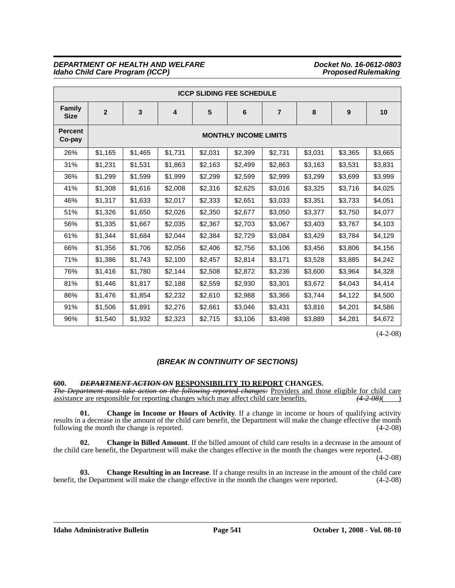| <b>ICCP SLIDING FEE SCHEDULE</b> |                              |         |                         |         |         |                |         |         |         |
|----------------------------------|------------------------------|---------|-------------------------|---------|---------|----------------|---------|---------|---------|
| <b>Family</b><br><b>Size</b>     | $\overline{2}$               | 3       | $\overline{\mathbf{4}}$ | 5       | 6       | $\overline{7}$ | 8       | 9       | 10      |
| <b>Percent</b><br>Co-pay         | <b>MONTHLY INCOME LIMITS</b> |         |                         |         |         |                |         |         |         |
| 26%                              | \$1,165                      | \$1,465 | \$1,731                 | \$2,031 | \$2,399 | \$2,731        | \$3,031 | \$3,365 | \$3,665 |
| 31%                              | \$1,231                      | \$1,531 | \$1,863                 | \$2,163 | \$2,499 | \$2,863        | \$3,163 | \$3,531 | \$3,831 |
| 36%                              | \$1,299                      | \$1,599 | \$1,999                 | \$2,299 | \$2,599 | \$2,999        | \$3,299 | \$3,699 | \$3,999 |
| 41%                              | \$1,308                      | \$1,616 | \$2,008                 | \$2,316 | \$2,625 | \$3,016        | \$3,325 | \$3,716 | \$4,025 |
| 46%                              | \$1,317                      | \$1,633 | \$2,017                 | \$2,333 | \$2,651 | \$3,033        | \$3,351 | \$3,733 | \$4,051 |
| 51%                              | \$1,326                      | \$1,650 | \$2,026                 | \$2,350 | \$2,677 | \$3,050        | \$3,377 | \$3,750 | \$4,077 |
| 56%                              | \$1,335                      | \$1,667 | \$2,035                 | \$2,367 | \$2,703 | \$3,067        | \$3,403 | \$3,767 | \$4,103 |
| 61%                              | \$1,344                      | \$1,684 | \$2,044                 | \$2,384 | \$2,729 | \$3,084        | \$3,429 | \$3,784 | \$4,129 |
| 66%                              | \$1,356                      | \$1,706 | \$2,056                 | \$2,406 | \$2,756 | \$3,106        | \$3,456 | \$3,806 | \$4,156 |
| 71%                              | \$1,386                      | \$1,743 | \$2,100                 | \$2,457 | \$2,814 | \$3,171        | \$3,528 | \$3,885 | \$4,242 |
| 76%                              | \$1,416                      | \$1,780 | \$2,144                 | \$2,508 | \$2,872 | \$3,236        | \$3,600 | \$3,964 | \$4,328 |
| 81%                              | \$1,446                      | \$1,817 | \$2,188                 | \$2,559 | \$2,930 | \$3,301        | \$3,672 | \$4,043 | \$4,414 |
| 86%                              | \$1,476                      | \$1,854 | \$2,232                 | \$2,610 | \$2,988 | \$3,366        | \$3,744 | \$4,122 | \$4,500 |
| 91%                              | \$1,506                      | \$1,891 | \$2,276                 | \$2,661 | \$3,046 | \$3,431        | \$3,816 | \$4,201 | \$4,586 |
| 96%                              | \$1,540                      | \$1,932 | \$2,323                 | \$2,715 | \$3,106 | \$3,498        | \$3,889 | \$4,281 | \$4,672 |

(4-2-08)

## *(BREAK IN CONTINUITY OF SECTIONS)*

## **600.** *DEPARTMENT ACTION ON* **RESPONSIBILITY TO REPORT CHANGES.**

*The Department must take action on the following reported changes:* Providers and those eligible for child care assistance are responsible for reporting changes which may affect child care benefits.  $(4-2-08)($ assistance are responsible for reporting changes which may affect child care benefits.

**01. Change in Income or Hours of Activity**. If a change in income or hours of qualifying activity results in a decrease in the amount of the child care benefit, the Department will make the change effective the month following the month the change is reported. following the month the change is reported.

**02. Change in Billed Amount**. If the billed amount of child care results in a decrease in the amount of the child care benefit, the Department will make the changes effective in the month the changes were reported.

(4-2-08)

**03. Change Resulting in an Increase**. If a change results in an increase in the amount of the child care benefit, the Department will make the change effective in the month the changes were reported. (4-2-08)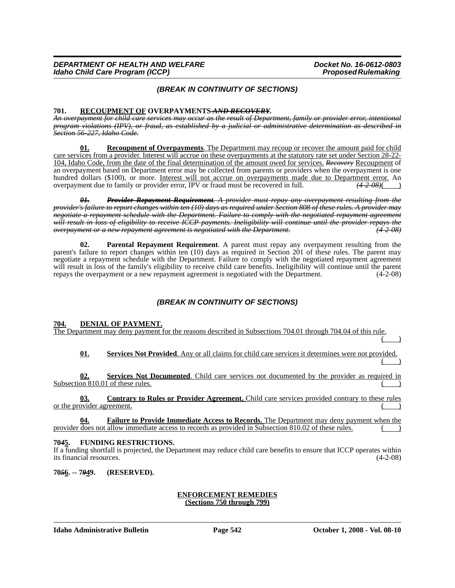## *(BREAK IN CONTINUITY OF SECTIONS)*

**701. RECOUPMENT OF OVERPAYMENTS** *AND RECOVERY***.** *An overpayment for child care services may occur as the result of Department, family or provider error, intentional program violations (IPV), or fraud, as established by a judicial or administrative determination as described in Section 56-227, Idaho Code.*

**01. Recoupment of Overpayments**. The Department may recoup or recover the amount paid for child care services from a provider. Interest will accrue on these overpayments at the statutory rate set under Section 28-22- 104, Idaho Code, from the date of the final determination of the amount owed for services. *Recovery* Recoupment of an overpayment based on Department error may be collected from parents or providers when the overpayment is one hundred dollars (\$100), or more. <u>Interest will not accrue on overpayments made due to Department error.</u> An overpayment due to family or provider error. IPV or fraud must be recovered in full.  $\frac{42-08}{1}$ overpayment due to family or provider error, IPV or fraud must be recovered in full. *(4-2-08)*( )

*01. Provider Repayment Requirement. A provider must repay any overpayment resulting from the provider's failure to report changes within ten (10) days as required under Section 808 of these rules. A provider may negotiate a repayment schedule with the Department. Failure to comply with the negotiated repayment agreement will result in loss of eligibility to receive ICCP payments. Ineligibility will continue until the provider repays the overpayment or a new repayment agreement is negotiated with the Department. (4-2-08)*

**Parental Repayment Requirement.** A parent must repay any overpayment resulting from the parent's failure to report changes within ten (10) days as required in Section 201 of these rules. The parent may negotiate a repayment schedule with the Department. Failure to comply with the negotiated repayment agreement will result in loss of the family's eligibility to receive child care benefits. Ineligibility will continue until the parent repays the overpayment or a new repayment agreement is negotiated with the Department. (4-2-08)

## *(BREAK IN CONTINUITY OF SECTIONS)*

**704. DENIAL OF PAYMENT.**

The Department may deny payment for the reasons described in Subsections 704.01 through 704.04 of this rule.  $($  )

**01. Services Not Provided**. Any or all claims for child care services it determines were not provided.  $($  )

**02. Services Not Documented**. Child care services not documented by the provider as required in Subsection  $810.01$  of these rules.

**03. Contrary to Rules or Provider Agreement.** Child care services provided contrary to these rules or the provider agreement.

**04. Failure to Provide Immediate Access to Records.** The Department may deny payment when the provider does not allow immediate access to records as provided in Subsection 810.02 of these rules.

## **70***4***5. FUNDING RESTRICTIONS.**

If a funding shortfall is projected, the Department may reduce child care benefits to ensure that ICCP operates within its financial resources.

**70***5***6. -- 7***9***49. (RESERVED).**

### **ENFORCEMENT REMEDIES (Sections 750 through 799)**

**Idaho Administrative Bulletin Page 542 October 1, 2008 - Vol. 08-10**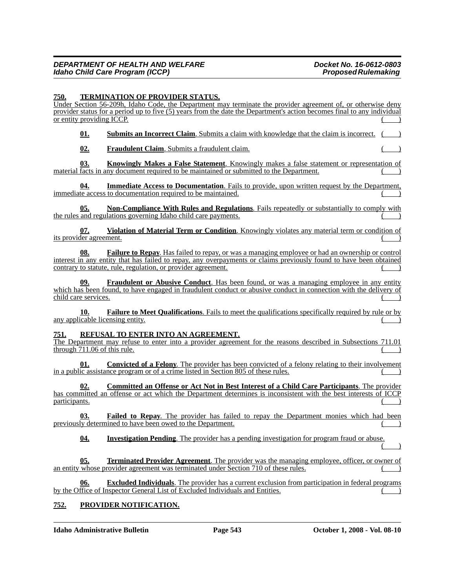### **750. TERMINATION OF PROVIDER STATUS.**

Under Section 56-209h, Idaho Code, the Department may terminate the provider agreement of, or otherwise deny provider status for a period up to five (5) years from the date the Department's action becomes final to any individual or entity providing ICCP.

**01. Submits an Incorrect Claim**. Submits a claim with knowledge that the claim is incorrect.

**02. Fraudulent Claim**. Submits a fraudulent claim.

**03. Knowingly Makes a False Statement**. Knowingly makes a false statement or representation of material facts in any document required to be maintained or submitted to the Department.

**Immediate Access to Documentation**. Fails to provide, upon written request by the Department, immediate access to documentation required to be maintained.

**05. Non-Compliance With Rules and Regulations**. Fails repeatedly or substantially to comply with the rules and regulations governing Idaho child care payments.

**07. Violation of Material Term or Condition**. Knowingly violates any material term or condition of its provider agreement.

**08. Failure to Repay**. Has failed to repay, or was a managing employee or had an ownership or control interest in any entity that has failed to repay, any overpayments or claims previously found to have been obtained contrary to statute, rule, regulation, or provider agreement.

**09. Fraudulent or Abusive Conduct**. Has been found, or was a managing employee in any entity which has been found, to have engaged in fraudulent conduct or abusive conduct in connection with the delivery of child care services.

**10. Failure to Meet Qualifications**. Fails to meet the qualifications specifically required by rule or by any applicable licensing entity.

### **751. REFUSAL TO ENTER INTO AN AGREEMENT.**

The Department may refuse to enter into a provider agreement for the reasons described in Subsections 711.01 through  $711.06$  of this rule.

**Convicted of a Felony**. The provider has been convicted of a felony relating to their involvement in a public assistance program or of a crime listed in Section 805 of these rules.

**02. Committed an Offense or Act Not in Best Interest of a Child Care Participants**. The provider has committed an offense or act which the Department determines is inconsistent with the best interests of ICCP  $\alpha$  ) participants. ( )

**03. Failed to Repay**. The provider has failed to repay the Department monies which had been previously determined to have been owed to the Department.

**04. Investigation Pending**. The provider has a pending investigation for program fraud or abuse.  $($  )

**05. Terminated Provider Agreement**. The provider was the managing employee, officer, or owner of an entity whose provider agreement was terminated under Section 710 of these rules.

**Excluded Individuals**. The provider has a current exclusion from participation in federal programs by the Office of Inspector General List of Excluded Individuals and Entities.

## **752. PROVIDER NOTIFICATION.**

**Idaho Administrative Bulletin Page 543 October 1, 2008 - Vol. 08-10**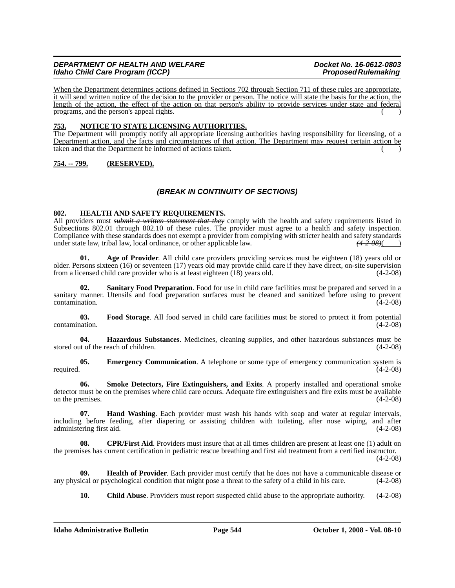When the Department determines actions defined in Sections 702 through Section 711 of these rules are appropriate, it will send written notice of the decision to the provider or person. The notice will state the basis for the action, the length of the action, the effect of the action on that person's ability to provide services under state and federal programs, and the person's appeal rights. ( )

## **753. NOTICE TO STATE LICENSING AUTHORITIES.**

The Department will promptly notify all appropriate licensing authorities having responsibility for licensing, of a Department action, and the facts and circumstances of that action. The Department may request certain action be taken and that the Department be informed of actions taken.

## **754. -- 799. (RESERVED).**

## *(BREAK IN CONTINUITY OF SECTIONS)*

### **802. HEALTH AND SAFETY REQUIREMENTS.**

All providers must *submit a written statement that they* comply with the health and safety requirements listed in Subsections 802.01 through 802.10 of these rules. The provider must agree to a health and safety inspection. Compliance with these standards does not exempt a provider from complying with stricter health and safety standards under state law, tribal law, local ordinance, or other applicable law.  $(4-2-08)$ 

**01. Age of Provider**. All child care providers providing services must be eighteen (18) years old or older. Persons sixteen (16) or seventeen (17) years old may provide child care if they have direct, on-site supervision from a licensed child care provider who is at least eighteen (18) years old. from a licensed child care provider who is at least eighteen  $(18)$  years old.

**02. Sanitary Food Preparation**. Food for use in child care facilities must be prepared and served in a sanitary manner. Utensils and food preparation surfaces must be cleaned and sanitized before using to prevent  $\frac{(4-2-08)}{2}$ 

**03. Food Storage**. All food served in child care facilities must be stored to protect it from potential contamination. (4-2-08)

**04. Hazardous Substances**. Medicines, cleaning supplies, and other hazardous substances must be stored out of the reach of children. (4-2-08)

**05. Emergency Communication**. A telephone or some type of emergency communication system is required. (4-2-08)

**06. Smoke Detectors, Fire Extinguishers, and Exits**. A properly installed and operational smoke detector must be on the premises where child care occurs. Adequate fire extinguishers and fire exits must be available on the premises. (4-2-08)

**07. Hand Washing**. Each provider must wash his hands with soap and water at regular intervals, including before feeding, after diapering or assisting children with toileting, after nose wiping, and after administering first aid. (4-2-08)

**08. CPR/First Aid**. Providers must insure that at all times children are present at least one (1) adult on the premises has current certification in pediatric rescue breathing and first aid treatment from a certified instructor.

(4-2-08)

**09. Health of Provider**. Each provider must certify that he does not have a communicable disease or any physical or psychological condition that might pose a threat to the safety of a child in his care. (4-2-08)

**10. Child Abuse**. Providers must report suspected child abuse to the appropriate authority. (4-2-08)